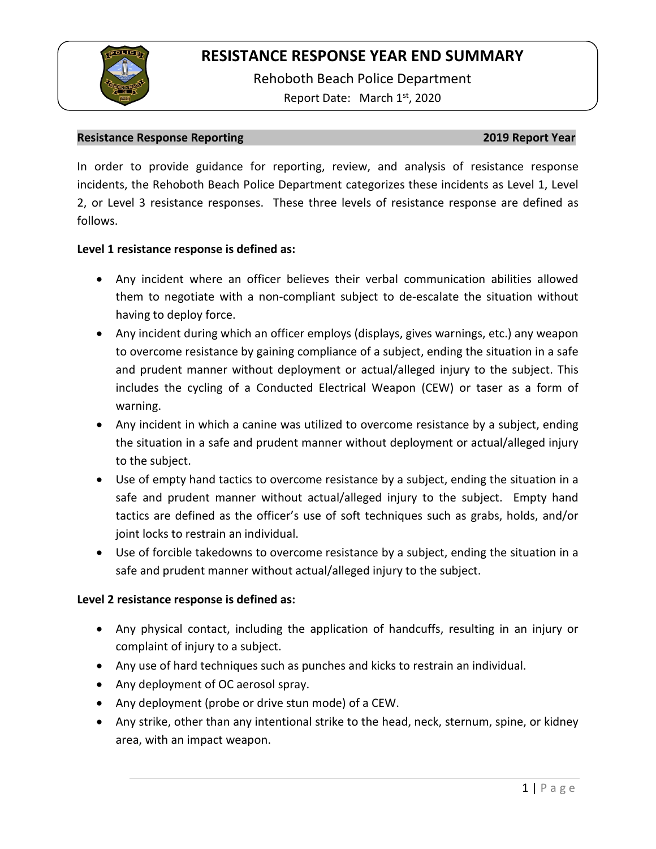

Rehoboth Beach Police Department Report Date: March 1<sup>st</sup>, 2020

### **Resistance Response Reporting 2019 Report Year**

In order to provide guidance for reporting, review, and analysis of resistance response incidents, the Rehoboth Beach Police Department categorizes these incidents as Level 1, Level 2, or Level 3 resistance responses. These three levels of resistance response are defined as follows.

### **Level 1 resistance response is defined as:**

- Any incident where an officer believes their verbal communication abilities allowed them to negotiate with a non-compliant subject to de-escalate the situation without having to deploy force.
- Any incident during which an officer employs (displays, gives warnings, etc.) any weapon to overcome resistance by gaining compliance of a subject, ending the situation in a safe and prudent manner without deployment or actual/alleged injury to the subject. This includes the cycling of a Conducted Electrical Weapon (CEW) or taser as a form of warning.
- Any incident in which a canine was utilized to overcome resistance by a subject, ending the situation in a safe and prudent manner without deployment or actual/alleged injury to the subject.
- Use of empty hand tactics to overcome resistance by a subject, ending the situation in a safe and prudent manner without actual/alleged injury to the subject. Empty hand tactics are defined as the officer's use of soft techniques such as grabs, holds, and/or joint locks to restrain an individual.
- Use of forcible takedowns to overcome resistance by a subject, ending the situation in a safe and prudent manner without actual/alleged injury to the subject.

### **Level 2 resistance response is defined as:**

- Any physical contact, including the application of handcuffs, resulting in an injury or complaint of injury to a subject.
- Any use of hard techniques such as punches and kicks to restrain an individual.
- Any deployment of OC aerosol spray.
- Any deployment (probe or drive stun mode) of a CEW.
- Any strike, other than any intentional strike to the head, neck, sternum, spine, or kidney area, with an impact weapon.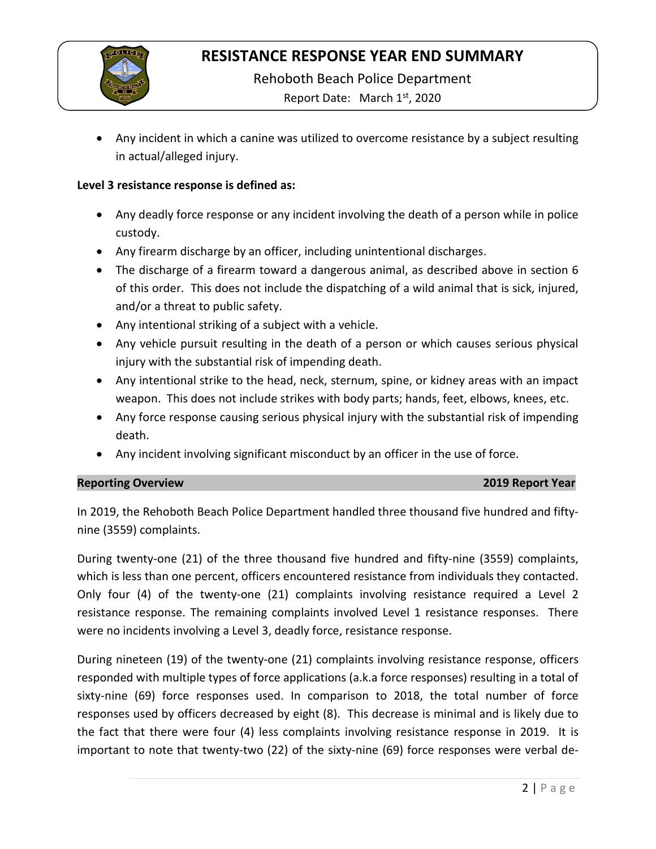

Rehoboth Beach Police Department

Report Date: March 1<sup>st</sup>, 2020

• Any incident in which a canine was utilized to overcome resistance by a subject resulting in actual/alleged injury.

### **Level 3 resistance response is defined as:**

- Any deadly force response or any incident involving the death of a person while in police custody.
- Any firearm discharge by an officer, including unintentional discharges.
- The discharge of a firearm toward a dangerous animal, as described above in section 6 of this order. This does not include the dispatching of a wild animal that is sick, injured, and/or a threat to public safety.
- Any intentional striking of a subject with a vehicle.
- Any vehicle pursuit resulting in the death of a person or which causes serious physical injury with the substantial risk of impending death.
- Any intentional strike to the head, neck, sternum, spine, or kidney areas with an impact weapon. This does not include strikes with body parts; hands, feet, elbows, knees, etc.
- Any force response causing serious physical injury with the substantial risk of impending death.
- Any incident involving significant misconduct by an officer in the use of force.

### **Reporting Overview 2019 Report Year**

In 2019, the Rehoboth Beach Police Department handled three thousand five hundred and fiftynine (3559) complaints.

During twenty-one (21) of the three thousand five hundred and fifty-nine (3559) complaints, which is less than one percent, officers encountered resistance from individuals they contacted. Only four (4) of the twenty-one (21) complaints involving resistance required a Level 2 resistance response. The remaining complaints involved Level 1 resistance responses. There were no incidents involving a Level 3, deadly force, resistance response.

During nineteen (19) of the twenty-one (21) complaints involving resistance response, officers responded with multiple types of force applications (a.k.a force responses) resulting in a total of sixty-nine (69) force responses used. In comparison to 2018, the total number of force responses used by officers decreased by eight (8). This decrease is minimal and is likely due to the fact that there were four (4) less complaints involving resistance response in 2019. It is important to note that twenty-two (22) of the sixty-nine (69) force responses were verbal de-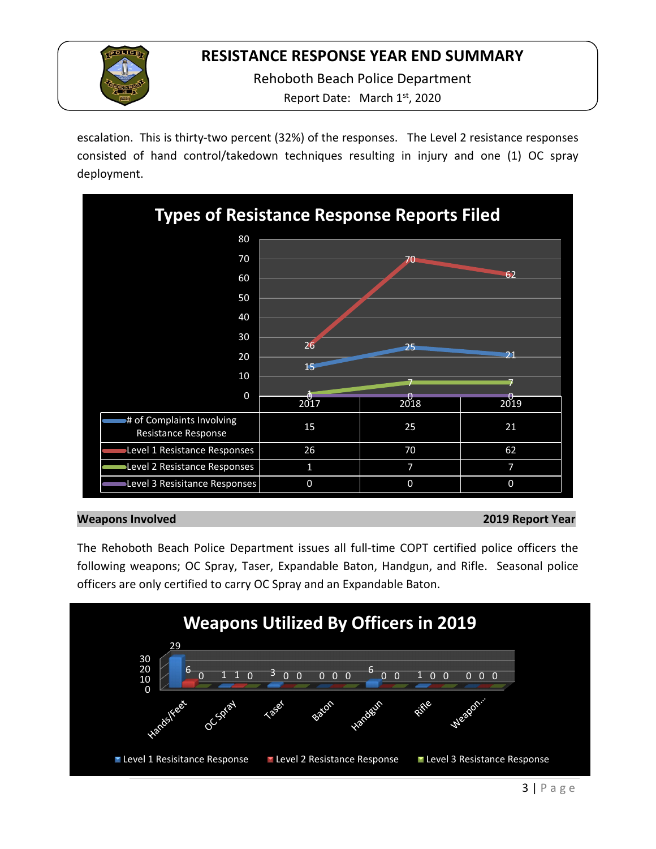

Rehoboth Beach Police Department

Report Date: March 1<sup>st</sup>, 2020

escalation. This is thirty-two percent (32%) of the responses. The Level 2 resistance responses consisted of hand control/takedown techniques resulting in injury and one (1) OC spray deployment.



### **Weapons Involved 2019 Report Year**

The Rehoboth Beach Police Department issues all full-time COPT certified police officers the following weapons; OC Spray, Taser, Expandable Baton, Handgun, and Rifle. Seasonal police officers are only certified to carry OC Spray and an Expandable Baton.

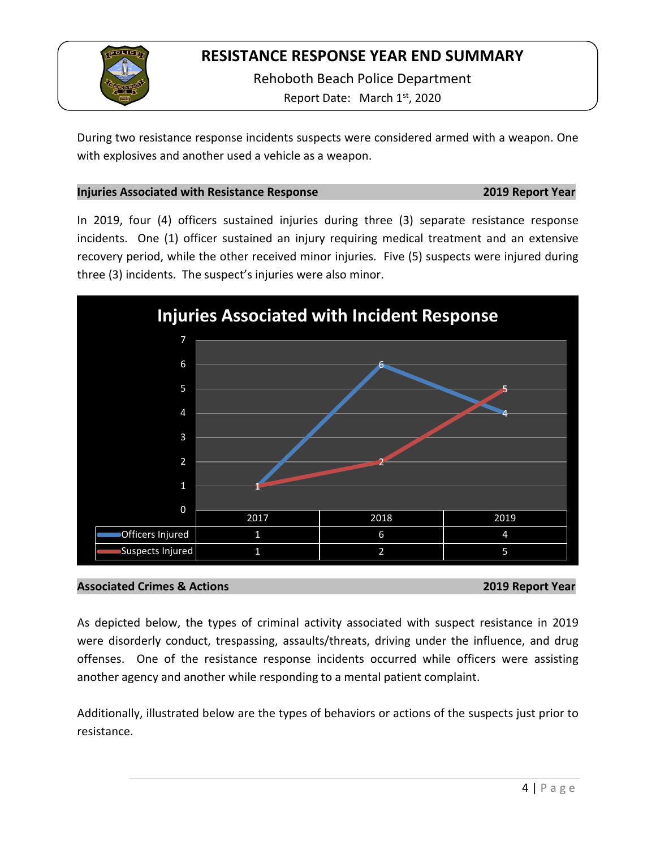

Rehoboth Beach Police Department Report Date: March 1st, 2020

During two resistance response incidents suspects were considered armed with a weapon. One with explosives and another used a vehicle as a weapon.

## **Injuries Associated with Resistance Response 2019 Report Year**

In 2019, four (4) officers sustained injuries during three (3) separate resistance response incidents. One (1) officer sustained an injury requiring medical treatment and an extensive recovery period, while the other received minor injuries. Five (5) suspects were injured during three (3) incidents. The suspect's injuries were also minor.



## **Associated Crimes & Actions 2019 Report Year**

As depicted below, the types of criminal activity associated with suspect resistance in 2019 were disorderly conduct, trespassing, assaults/threats, driving under the influence, and drug offenses. One of the resistance response incidents occurred while officers were assisting another agency and another while responding to a mental patient complaint.

Additionally, illustrated below are the types of behaviors or actions of the suspects just prior to resistance.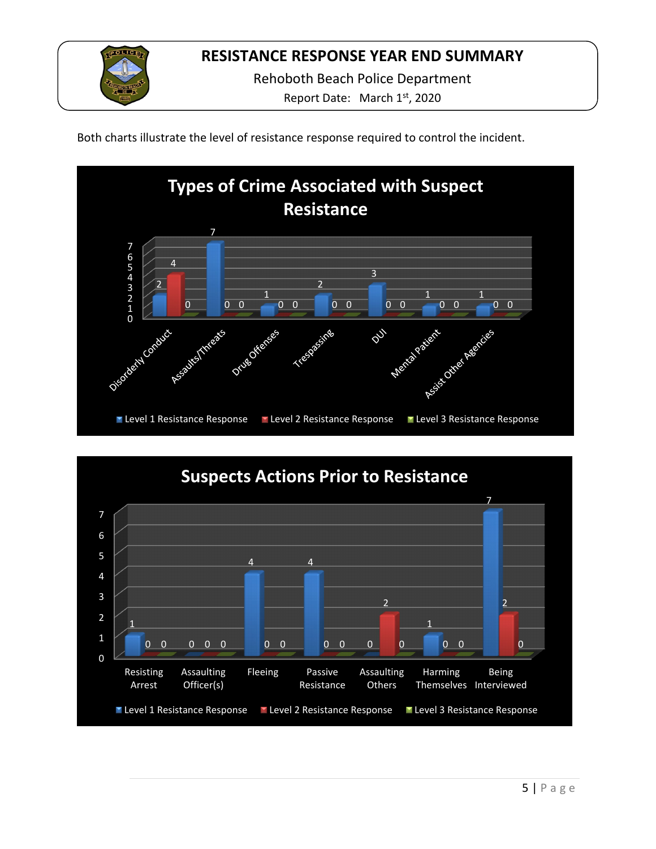

Rehoboth Beach Police Department

Report Date: March 1<sup>st</sup>, 2020

Both charts illustrate the level of resistance response required to control the incident.



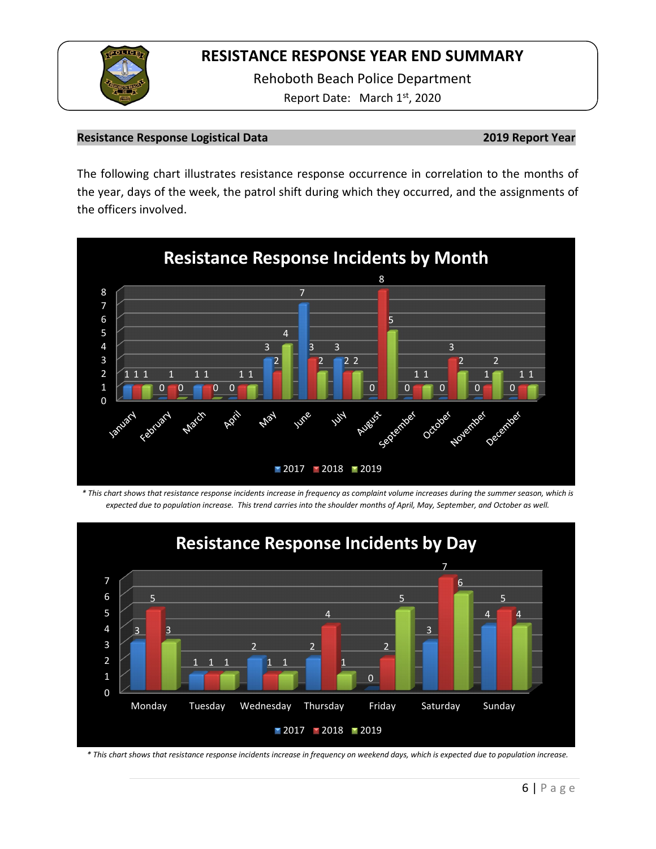

Rehoboth Beach Police Department Report Date: March 1st, 2020

### **Resistance Response Logistical Data 2019 Report Year**

The following chart illustrates resistance response occurrence in correlation to the months of the year, days of the week, the patrol shift during which they occurred, and the assignments of the officers involved.



*\* This chart shows that resistance response incidents increase in frequency as complaint volume increases during the summer season, which is expected due to population increase. This trend carries into the shoulder months of April, May, September, and October as well.*



*\* This chart shows that resistance response incidents increase in frequency on weekend days, which is expected due to population increase.*